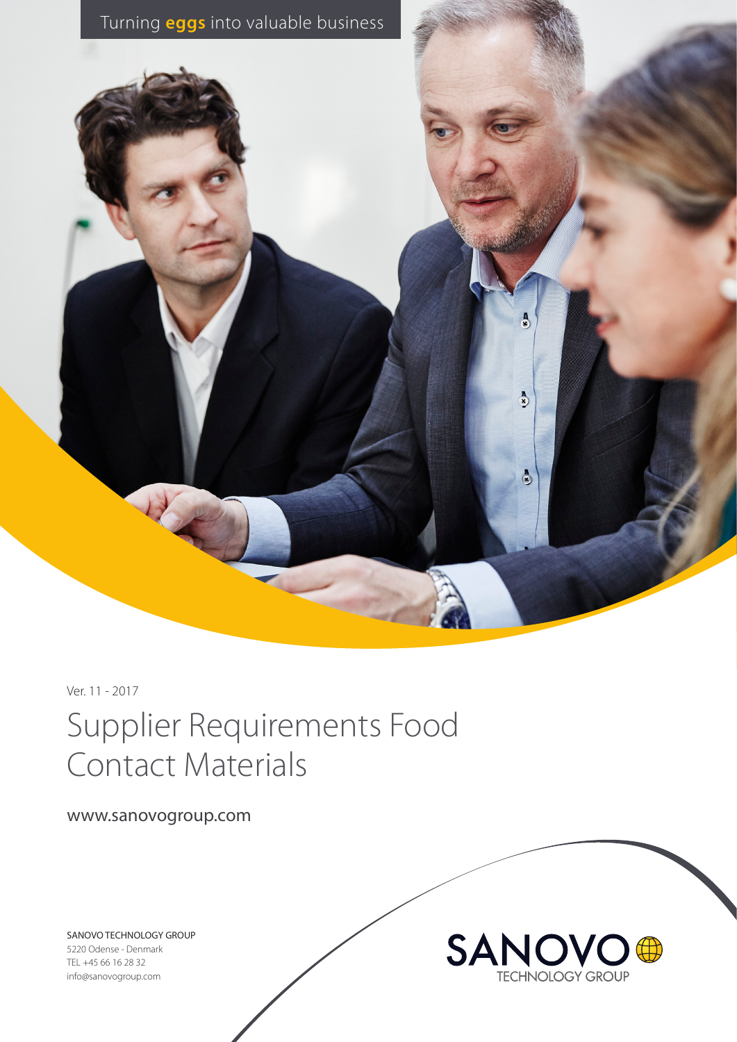

Ver. 11 - 2017

# Supplier Requirements Food Contact Materials

www.sanovogroup.com

SANOVO TECHNOLOGY GROUP

5220 Odense - Denmark TEL +45 66 16 28 32 info@sanovogroup.com